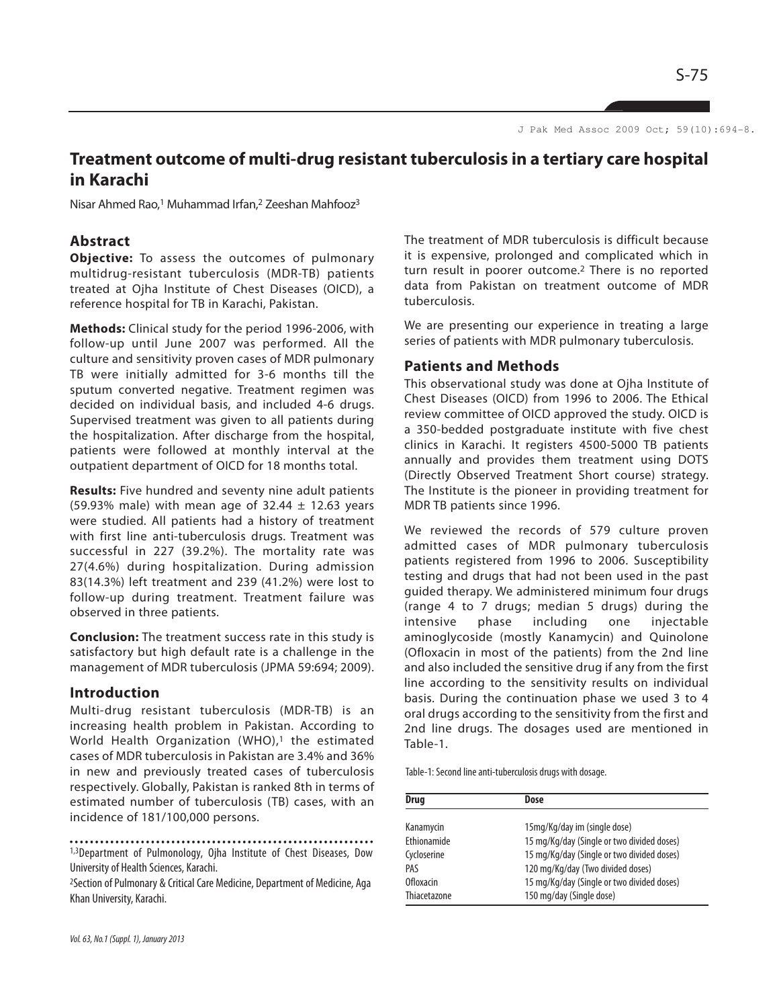J Pak Med Assoc 2009 Oct; 59(10):694-8.

# **Treatment outcome of multi-drug resistant tuberculosis in a tertiary care hospital in Karachi**

Nisar Ahmed Rao,<sup>1</sup> Muhammad Irfan,<sup>2</sup> Zeeshan Mahfooz<sup>3</sup>

# **Abstract**

**Objective:** To assess the outcomes of pulmonary multidrug-resistant tuberculosis (MDR-TB) patients treated at Ojha Institute of Chest Diseases (OICD), a reference hospital for TB in Karachi, Pakistan.

**Methods:** Clinical study for the period 1996-2006, with follow-up until June 2007 was performed. All the culture and sensitivity proven cases of MDR pulmonary TB were initially admitted for 3-6 months till the sputum converted negative. Treatment regimen was decided on individual basis, and included 4-6 drugs. Supervised treatment was given to all patients during the hospitalization. After discharge from the hospital, patients were followed at monthly interval at the outpatient department of OICD for 18 months total.

**Results:** Five hundred and seventy nine adult patients (59.93% male) with mean age of 32.44  $\pm$  12.63 years were studied. All patients had a history of treatment with first line anti-tuberculosis drugs. Treatment was successful in 227 (39.2%). The mortality rate was 27(4.6%) during hospitalization. During admission 83(14.3%) left treatment and 239 (41.2%) were lost to follow-up during treatment. Treatment failure was observed in three patients.

**Conclusion:** The treatment success rate in this study is satisfactory but high default rate is a challenge in the management of MDR tuberculosis (JPMA 59:694; 2009).

#### **Introduction**

Multi-drug resistant tuberculosis (MDR-TB) is an increasing health problem in Pakistan. According to World Health Organization (WHO),<sup>1</sup> the estimated cases of MDR tuberculosis in Pakistan are 3.4% and 36% in new and previously treated cases of tuberculosis respectively. Globally, Pakistan is ranked 8th in terms of estimated number of tuberculosis (TB) cases, with an incidence of 181/100,000 persons.

<sup>2</sup>Section of Pulmonary & Critical Care Medicine, Department of Medicine, Aga Khan University, Karachi.

The treatment of MDR tuberculosis is difficult because it is expensive, prolonged and complicated which in turn result in poorer outcome.<sup>2</sup> There is no reported data from Pakistan on treatment outcome of MDR tuberculosis.

We are presenting our experience in treating a large series of patients with MDR pulmonary tuberculosis.

#### **Patients and Methods**

This observational study was done at Ojha Institute of Chest Diseases (OICD) from 1996 to 2006. The Ethical review committee of OICD approved the study. OICD is a 350-bedded postgraduate institute with five chest clinics in Karachi. It registers 4500-5000 TB patients annually and provides them treatment using DOTS (Directly Observed Treatment Short course) strategy. The Institute is the pioneer in providing treatment for MDR TB patients since 1996.

We reviewed the records of 579 culture proven admitted cases of MDR pulmonary tuberculosis patients registered from 1996 to 2006. Susceptibility testing and drugs that had not been used in the past guided therapy. We administered minimum four drugs (range 4 to 7 drugs; median 5 drugs) during the intensive phase including one injectable aminoglycoside (mostly Kanamycin) and Quinolone (Ofloxacin in most of the patients) from the 2nd line and also included the sensitive drug if any from the first line according to the sensitivity results on individual basis. During the continuation phase we used 3 to 4 oral drugs according to the sensitivity from the first and 2nd line drugs. The dosages used are mentioned in Table-1.

Table-1: Second line anti-tuberculosis drugs with dosage.

| <b>Drug</b>        | Dose                                       |  |
|--------------------|--------------------------------------------|--|
| Kanamycin          | 15mg/Kg/day im (single dose)               |  |
| <b>Fthionamide</b> | 15 mg/Kg/day (Single or two divided doses) |  |
| Cycloserine        | 15 mg/Kg/day (Single or two divided doses) |  |
| PAS                | 120 mg/Kg/day (Two divided doses)          |  |
| <b>Ofloxacin</b>   | 15 mg/Kg/day (Single or two divided doses) |  |
| Thiacetazone       | 150 mg/day (Single dose)                   |  |

<sup>1,3</sup>Department of Pulmonology, Ojha Institute of Chest Diseases, Dow University of Health Sciences, Karachi.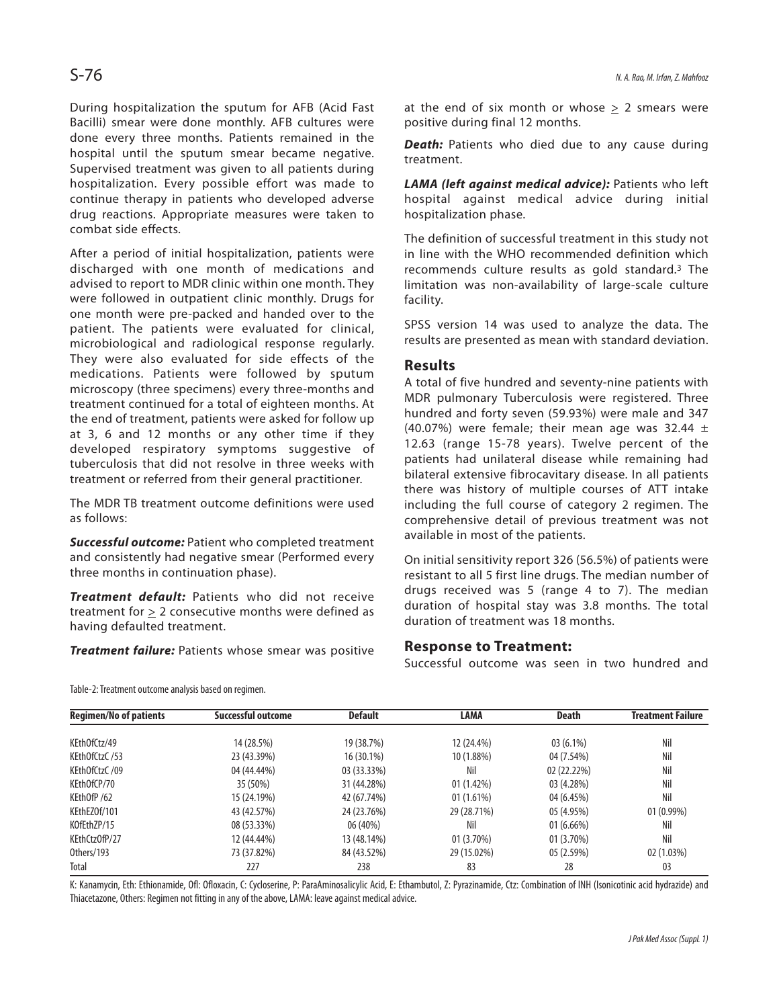During hospitalization the sputum for AFB (Acid Fast Bacilli) smear were done monthly. AFB cultures were done every three months. Patients remained in the hospital until the sputum smear became negative. Supervised treatment was given to all patients during hospitalization. Every possible effort was made to continue therapy in patients who developed adverse drug reactions. Appropriate measures were taken to combat side effects.

After a period of initial hospitalization, patients were discharged with one month of medications and advised to report to MDR clinic within one month. They were followed in outpatient clinic monthly. Drugs for one month were pre-packed and handed over to the patient. The patients were evaluated for clinical, microbiological and radiological response regularly. They were also evaluated for side effects of the medications. Patients were followed by sputum microscopy (three specimens) every three-months and treatment continued for a total of eighteen months. At the end of treatment, patients were asked for follow up at 3, 6 and 12 months or any other time if they developed respiratory symptoms suggestive of tuberculosis that did not resolve in three weeks with treatment or referred from their general practitioner.

The MDR TB treatment outcome definitions were used as follows:

**Successful outcome:** Patient who completed treatment and consistently had negative smear (Performed every three months in continuation phase).

**Treatment default:** Patients who did not receive treatment for > 2 consecutive months were defined as having defaulted treatment.

**Treatment failure:** Patients whose smear was positive

at the end of six month or whose  $\geq 2$  smears were positive during final 12 months.

**Death:** Patients who died due to any cause during treatment.

**LAMA (left against medical advice):** Patients who left hospital against medical advice during initial hospitalization phase.

The definition of successful treatment in this study not in line with the WHO recommended definition which recommends culture results as gold standard.<sup>3</sup> The limitation was non-availability of large-scale culture facility.

SPSS version 14 was used to analyze the data. The results are presented as mean with standard deviation.

#### **Results**

A total of five hundred and seventy-nine patients with MDR pulmonary Tuberculosis were registered. Three hundred and forty seven (59.93%) were male and 347 (40.07%) were female; their mean age was 32.44  $\pm$ 12.63 (range 15-78 years). Twelve percent of the patients had unilateral disease while remaining had bilateral extensive fibrocavitary disease. In all patients there was history of multiple courses of ATT intake including the full course of category 2 regimen. The comprehensive detail of previous treatment was not available in most of the patients.

On initial sensitivity report 326 (56.5%) of patients were resistant to all 5 first line drugs. The median number of drugs received was 5 (range 4 to 7). The median duration of hospital stay was 3.8 months. The total duration of treatment was 18 months.

### **Response to Treatment:**

Successful outcome was seen in two hundred and

|  | Table-2: Treatment outcome analysis based on regimen. |
|--|-------------------------------------------------------|
|  |                                                       |

| <b>Regimen/No of patients</b> | <b>Successful outcome</b> | <b>Default</b> | LAMA         | <b>Death</b> | <b>Treatment Failure</b> |
|-------------------------------|---------------------------|----------------|--------------|--------------|--------------------------|
| KEthOfCtz/49                  | 14 (28.5%)                | 19 (38.7%)     | 12 (24.4%)   | $03(6.1\%)$  | Nil                      |
| KEthOfCtzC /53                | 23 (43.39%)               | $16(30.1\%)$   | 10 (1.88%)   | 04 (7.54%)   | Nil                      |
| KEthOfCtzC /09                | 04 (44.44%)               | 03 (33.33%)    | Nil          | 02 (22.22%)  | Nil                      |
| KEthOfCP/70                   | 35 (50%)                  | 31 (44.28%)    | 01(1.42%)    | 03 (4.28%)   | Nil                      |
| KEthOfP /62                   | 15 (24.19%)               | 42 (67.74%)    | 01(1.61%)    | 04 (6.45%)   | Nil                      |
| KEthEZOf/101                  | 43 (42.57%)               | 24 (23.76%)    | 29 (28.71%)  | 05 (4.95%)   | $01(0.99\%)$             |
| KOfEthZP/15                   | 08 (53.33%)               | 06 (40%)       | Nil          | $01(6.66\%)$ | Nil                      |
| KEthCtzOfP/27                 | 12 (44.44%)               | 13 (48.14%)    | $01(3.70\%)$ | $01(3.70\%)$ | Nil                      |
| Others/193                    | 73 (37.82%)               | 84 (43.52%)    | 29 (15.02%)  | 05(2.59%)    | 02(1.03%)                |
| Total                         | 227                       | 238            | 83           | 28           | 03                       |

K: Kanamycin, Eth: Ethionamide, Ofl: Ofloxacin, C: Cycloserine, P: ParaAminosalicylic Acid, E: Ethambutol, Z: Pyrazinamide, Ctz: Combination of INH (Isonicotinic acid hydrazide) and Thiacetazone, Others: Regimen not fitting in any of the above, LAMA: leave against medical advice.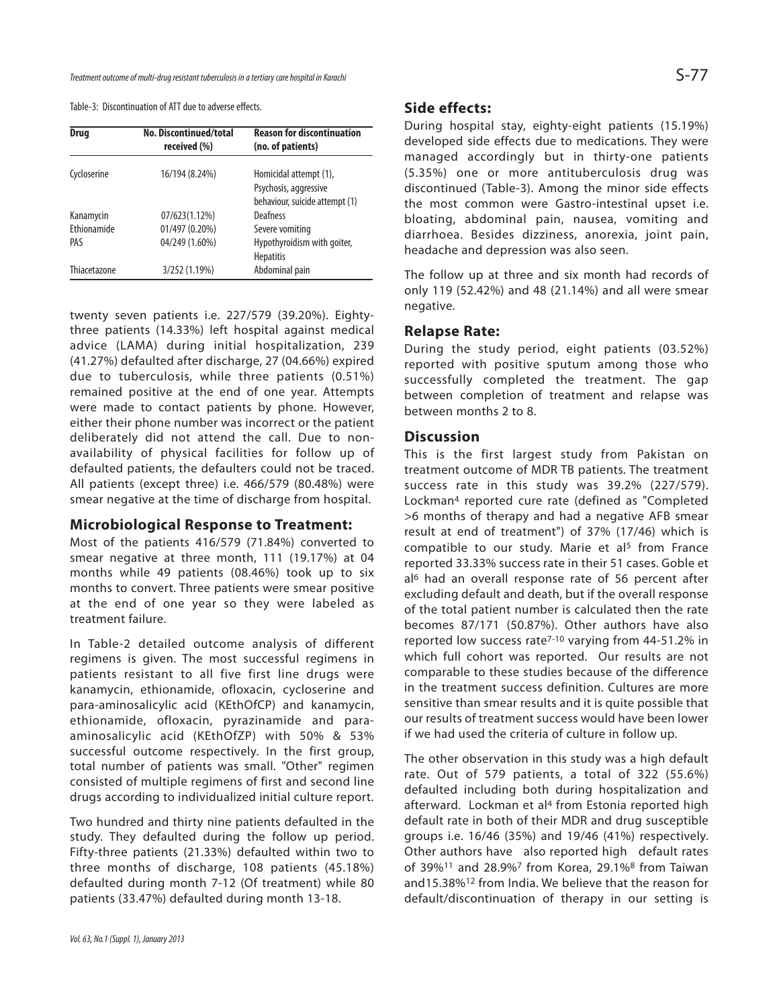Table-3: Discontinuation of ATT due to adverse effects.

| <b>Drug</b>  | No. Discontinued/total<br>received (%) | <b>Reason for discontinuation</b><br>(no. of patients) |
|--------------|----------------------------------------|--------------------------------------------------------|
| Cycloserine  | 16/194 (8.24%)                         | Homicidal attempt (1),                                 |
|              |                                        | Psychosis, aggressive                                  |
|              |                                        | behaviour, suicide attempt (1)                         |
| Kanamycin    | 07/623(1.12%)                          | Deafness                                               |
| Ethionamide  | 01/497 (0.20%)                         | Severe vomiting                                        |
| PAS          | 04/249 (1.60%)                         | Hypothyroidism with goiter,                            |
|              |                                        | <b>Hepatitis</b>                                       |
| Thiacetazone | 3/252 (1.19%)                          | Abdominal pain                                         |

twenty seven patients i.e. 227/579 (39.20%). Eightythree patients (14.33%) left hospital against medical advice (LAMA) during initial hospitalization, 239 (41.27%) defaulted after discharge, 27 (04.66%) expired due to tuberculosis, while three patients (0.51%) remained positive at the end of one year. Attempts were made to contact patients by phone. However, either their phone number was incorrect or the patient deliberately did not attend the call. Due to nonavailability of physical facilities for follow up of defaulted patients, the defaulters could not be traced. All patients (except three) i.e. 466/579 (80.48%) were smear negative at the time of discharge from hospital.

#### **Microbiological Response to Treatment:**

Most of the patients 416/579 (71.84%) converted to smear negative at three month, 111 (19.17%) at 04 months while 49 patients (08.46%) took up to six months to convert. Three patients were smear positive at the end of one year so they were labeled as treatment failure.

In Table-2 detailed outcome analysis of different regimens is given. The most successful regimens in patients resistant to all five first line drugs were kanamycin, ethionamide, ofloxacin, cycloserine and para-aminosalicylic acid (KEthOfCP) and kanamycin, ethionamide, ofloxacin, pyrazinamide and paraaminosalicylic acid (KEthOfZP) with 50% & 53% successful outcome respectively. In the first group, total number of patients was small. "Other" regimen consisted of multiple regimens of first and second line drugs according to individualized initial culture report.

Two hundred and thirty nine patients defaulted in the study. They defaulted during the follow up period. Fifty-three patients (21.33%) defaulted within two to three months of discharge, 108 patients (45.18%) defaulted during month 7-12 (Of treatment) while 80 patients (33.47%) defaulted during month 13-18.

#### **Side effects:**

During hospital stay, eighty-eight patients (15.19%) developed side effects due to medications. They were managed accordingly but in thirty-one patients (5.35%) one or more antituberculosis drug was discontinued (Table-3). Among the minor side effects the most common were Gastro-intestinal upset i.e. bloating, abdominal pain, nausea, vomiting and diarrhoea. Besides dizziness, anorexia, joint pain, headache and depression was also seen.

The follow up at three and six month had records of only 119 (52.42%) and 48 (21.14%) and all were smear negative.

#### **Relapse Rate:**

During the study period, eight patients (03.52%) reported with positive sputum among those who successfully completed the treatment. The gap between completion of treatment and relapse was between months 2 to 8.

#### **Discussion**

This is the first largest study from Pakistan on treatment outcome of MDR TB patients. The treatment success rate in this study was 39.2% (227/579). Lockman<sup>4</sup> reported cure rate (defined as "Completed >6 months of therapy and had a negative AFB smear result at end of treatment") of 37% (17/46) which is compatible to our study. Marie et al<sup>5</sup> from France reported 33.33% success rate in their 51 cases. Goble et al<sup>6</sup> had an overall response rate of 56 percent after excluding default and death, but if the overall response of the total patient number is calculated then the rate becomes 87/171 (50.87%). Other authors have also reported low success rate<sup>7-10</sup> varying from 44-51.2% in which full cohort was reported. Our results are not comparable to these studies because of the difference in the treatment success definition. Cultures are more sensitive than smear results and it is quite possible that our results of treatment success would have been lower if we had used the criteria of culture in follow up.

The other observation in this study was a high default rate. Out of 579 patients, a total of 322 (55.6%) defaulted including both during hospitalization and afterward. Lockman et al<sup>4</sup> from Estonia reported high default rate in both of their MDR and drug susceptible groups i.e. 16/46 (35%) and 19/46 (41%) respectively. Other authors have also reported high default rates of 39%<sup>11</sup> and 28.9%<sup>7</sup> from Korea, 29.1%<sup>8</sup> from Taiwan and15.38%<sup>12</sup> from India. We believe that the reason for default/discontinuation of therapy in our setting is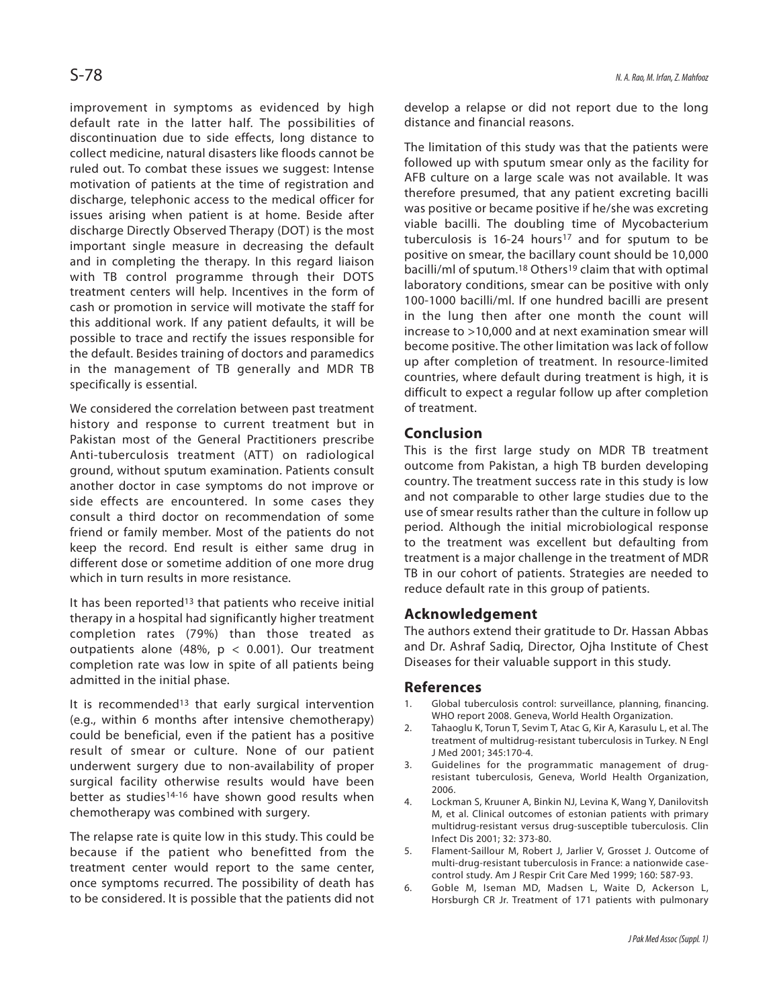improvement in symptoms as evidenced by high default rate in the latter half. The possibilities of discontinuation due to side effects, long distance to collect medicine, natural disasters like floods cannot be ruled out. To combat these issues we suggest: Intense motivation of patients at the time of registration and discharge, telephonic access to the medical officer for issues arising when patient is at home. Beside after discharge Directly Observed Therapy (DOT) is the most important single measure in decreasing the default and in completing the therapy. In this regard liaison with TB control programme through their DOTS treatment centers will help. Incentives in the form of cash or promotion in service will motivate the staff for this additional work. If any patient defaults, it will be possible to trace and rectify the issues responsible for the default. Besides training of doctors and paramedics in the management of TB generally and MDR TB specifically is essential.

We considered the correlation between past treatment history and response to current treatment but in Pakistan most of the General Practitioners prescribe Anti-tuberculosis treatment (ATT) on radiological ground, without sputum examination. Patients consult another doctor in case symptoms do not improve or side effects are encountered. In some cases they consult a third doctor on recommendation of some friend or family member. Most of the patients do not keep the record. End result is either same drug in different dose or sometime addition of one more drug which in turn results in more resistance.

It has been reported<sup>13</sup> that patients who receive initial therapy in a hospital had significantly higher treatment completion rates (79%) than those treated as outpatients alone (48%,  $p < 0.001$ ). Our treatment completion rate was low in spite of all patients being admitted in the initial phase.

It is recommended<sup>13</sup> that early surgical intervention (e.g., within 6 months after intensive chemotherapy) could be beneficial, even if the patient has a positive result of smear or culture. None of our patient underwent surgery due to non-availability of proper surgical facility otherwise results would have been better as studies<sup>14-16</sup> have shown good results when chemotherapy was combined with surgery.

The relapse rate is quite low in this study. This could be because if the patient who benefitted from the treatment center would report to the same center, once symptoms recurred. The possibility of death has to be considered. It is possible that the patients did not develop a relapse or did not report due to the long distance and financial reasons.

The limitation of this study was that the patients were followed up with sputum smear only as the facility for AFB culture on a large scale was not available. It was therefore presumed, that any patient excreting bacilli was positive or became positive if he/she was excreting viable bacilli. The doubling time of Mycobacterium tuberculosis is  $16-24$  hours<sup>17</sup> and for sputum to be positive on smear, the bacillary count should be 10,000 bacilli/ml of sputum.<sup>18</sup> Others<sup>19</sup> claim that with optimal laboratory conditions, smear can be positive with only 100-1000 bacilli/ml. If one hundred bacilli are present in the lung then after one month the count will increase to >10,000 and at next examination smear will become positive. The other limitation was lack of follow up after completion of treatment. In resource-limited countries, where default during treatment is high, it is difficult to expect a regular follow up after completion of treatment.

## **Conclusion**

This is the first large study on MDR TB treatment outcome from Pakistan, a high TB burden developing country. The treatment success rate in this study is low and not comparable to other large studies due to the use of smear results rather than the culture in follow up period. Although the initial microbiological response to the treatment was excellent but defaulting from treatment is a major challenge in the treatment of MDR TB in our cohort of patients. Strategies are needed to reduce default rate in this group of patients.

#### **Acknowledgement**

The authors extend their gratitude to Dr. Hassan Abbas and Dr. Ashraf Sadiq, Director, Ojha Institute of Chest Diseases for their valuable support in this study.

#### **References**

- 1. Global tuberculosis control: surveillance, planning, financing. WHO report 2008. Geneva, World Health Organization.
- 2. Tahaoglu K, Torun T, Sevim T, Atac G, Kir A, Karasulu L, et al. The treatment of multidrug-resistant tuberculosis in Turkey. N Engl J Med 2001; 345:170-4.
- 3. Guidelines for the programmatic management of drugresistant tuberculosis, Geneva, World Health Organization, 2006.
- 4. Lockman S, Kruuner A, Binkin NJ, Levina K, Wang Y, Danilovitsh M, et al. Clinical outcomes of estonian patients with primary multidrug-resistant versus drug-susceptible tuberculosis. Clin Infect Dis 2001; 32: 373-80.
- 5. Flament-Saillour M, Robert J, Jarlier V, Grosset J. Outcome of multi-drug-resistant tuberculosis in France: a nationwide casecontrol study. Am J Respir Crit Care Med 1999; 160: 587-93.
- 6. Goble M, Iseman MD, Madsen L, Waite D, Ackerson L, Horsburgh CR Jr. Treatment of 171 patients with pulmonary